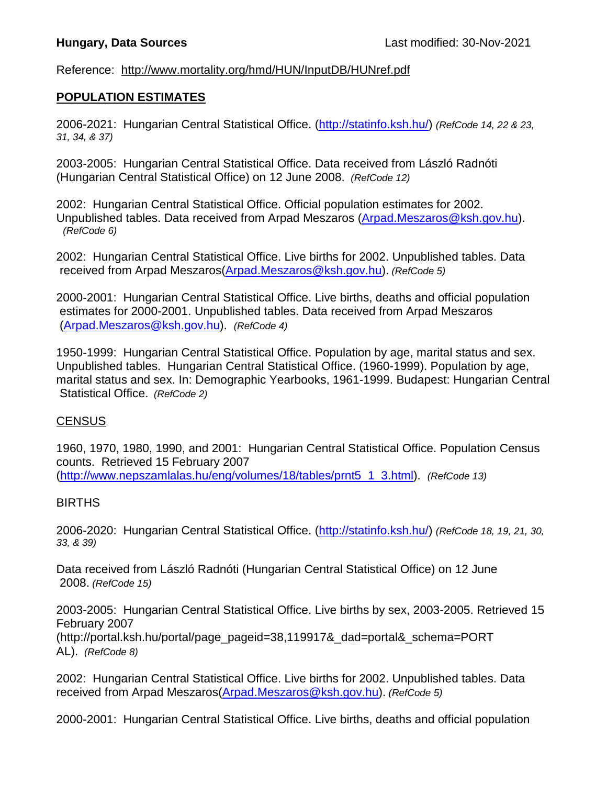# Reference: http://www.mortality.org/hmd/HUN/InputDB/HUNref.pdf

# **POPULATION ESTIMATES**

2006-2021: Hungarian Central Statistical Office. [\(http://statinfo.ksh.hu/\)](http://statinfo.ksh.hu/) *(RefCode 14, 22 & 23, 31, 34, & 37)*

2003-2005: Hungarian Central Statistical Office. Data received from László Radnóti (Hungarian Central Statistical Office) on 12 June 2008. *(RefCode 12)*

2002: Hungarian Central Statistical Office. Official population estimates for 2002. Unpublished tables. Data received from Arpad Meszaros [\(Arpad.Meszaros@ksh.gov.hu\)](mailto:Arpad.Meszaros@ksh.gov.hu). *(RefCode 6)*

2002: Hungarian Central Statistical Office. Live births for 2002. Unpublished tables. Data received from Arpad Meszaros[\(Arpad.Meszaros@ksh.gov.hu\)](mailto:Arpad.Meszaros@ksh.gov.hu). *(RefCode 5)*

2000-2001: Hungarian Central Statistical Office. Live births, deaths and official population estimates for 2000-2001. Unpublished tables. Data received from Arpad Meszaros [\(Arpad.Meszaros@ksh.gov.hu\)](mailto:Arpad.Meszaros@ksh.gov.hu). *(RefCode 4)*

1950-1999: Hungarian Central Statistical Office. Population by age, marital status and sex. Unpublished tables. Hungarian Central Statistical Office. (1960-1999). Population by age, marital status and sex. In: Demographic Yearbooks, 1961-1999. Budapest: Hungarian Central Statistical Office. *(RefCode 2)*

#### **CENSUS**

1960, 1970, 1980, 1990, and 2001: Hungarian Central Statistical Office. Population Census counts. Retrieved 15 February 2007 [\(http://www.nepszamlalas.hu/eng/volumes/18/tables/prnt5\\_1\\_3.html\)](http://www.nepszamlalas.hu/eng/volumes/18/tables/prnt5_1_3.html). *(RefCode 13)*

#### BIRTHS

2006-2020: Hungarian Central Statistical Office. [\(http://statinfo.ksh.hu/\)](http://statinfo.ksh.hu/) *(RefCode 18, 19, 21, 30, 33, & 39)*

Data received from László Radnóti (Hungarian Central Statistical Office) on 12 June 2008. *(RefCode 15)*

2003-2005: Hungarian Central Statistical Office. Live births by sex, 2003-2005. Retrieved 15 February 2007

(http://portal.ksh.hu/portal/page\_pageid=38,119917&\_dad=portal&\_schema=PORT AL). *(RefCode 8)*

2002: Hungarian Central Statistical Office. Live births for 2002. Unpublished tables. Data received from Arpad Meszaros[\(Arpad.Meszaros@ksh.gov.hu\)](mailto:Arpad.Meszaros@ksh.gov.hu). *(RefCode 5)*

2000-2001: Hungarian Central Statistical Office. Live births, deaths and official population